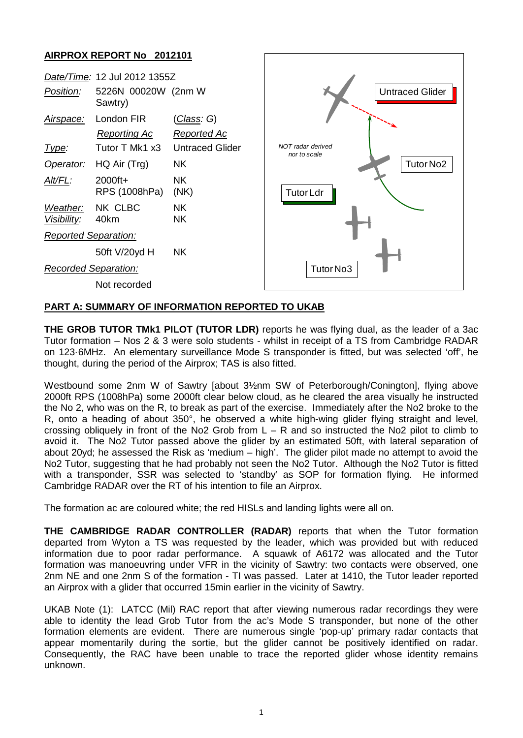## **AIRPROX REPORT No 2012101**



## **PART A: SUMMARY OF INFORMATION REPORTED TO UKAB**

**THE GROB TUTOR TMk1 PILOT (TUTOR LDR)** reports he was flying dual, as the leader of a 3ac Tutor formation – Nos 2 & 3 were solo students - whilst in receipt of a TS from Cambridge RADAR on 123·6MHz. An elementary surveillance Mode S transponder is fitted, but was selected 'off', he thought, during the period of the Airprox; TAS is also fitted.

Westbound some 2nm W of Sawtry [about 3½nm SW of Peterborough/Conington], flying above 2000ft RPS (1008hPa) some 2000ft clear below cloud, as he cleared the area visually he instructed the No 2, who was on the R, to break as part of the exercise. Immediately after the No2 broke to the R, onto a heading of about 350°, he observed a white high-wing glider flying straight and level, crossing obliquely in front of the No2 Grob from  $L - R$  and so instructed the No2 pilot to climb to avoid it. The No2 Tutor passed above the glider by an estimated 50ft, with lateral separation of about 20yd; he assessed the Risk as 'medium – high'. The glider pilot made no attempt to avoid the No2 Tutor, suggesting that he had probably not seen the No2 Tutor. Although the No2 Tutor is fitted with a transponder, SSR was selected to 'standby' as SOP for formation flying. He informed Cambridge RADAR over the RT of his intention to file an Airprox.

The formation ac are coloured white; the red HISLs and landing lights were all on.

**THE CAMBRIDGE RADAR CONTROLLER (RADAR)** reports that when the Tutor formation departed from Wyton a TS was requested by the leader, which was provided but with reduced information due to poor radar performance. A squawk of A6172 was allocated and the Tutor formation was manoeuvring under VFR in the vicinity of Sawtry: two contacts were observed, one 2nm NE and one 2nm S of the formation - TI was passed. Later at 1410, the Tutor leader reported an Airprox with a glider that occurred 15min earlier in the vicinity of Sawtry.

UKAB Note (1): LATCC (Mil) RAC report that after viewing numerous radar recordings they were able to identity the lead Grob Tutor from the ac's Mode S transponder, but none of the other formation elements are evident. There are numerous single 'pop-up' primary radar contacts that appear momentarily during the sortie, but the glider cannot be positively identified on radar. Consequently, the RAC have been unable to trace the reported glider whose identity remains unknown.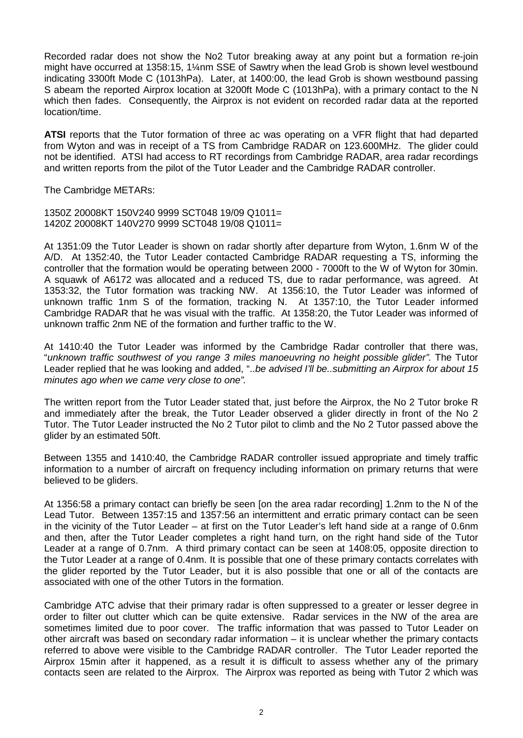Recorded radar does not show the No2 Tutor breaking away at any point but a formation re-join might have occurred at 1358:15, 1¼nm SSE of Sawtry when the lead Grob is shown level westbound indicating 3300ft Mode C (1013hPa). Later, at 1400:00, the lead Grob is shown westbound passing S abeam the reported Airprox location at 3200ft Mode C (1013hPa), with a primary contact to the N which then fades. Consequently, the Airprox is not evident on recorded radar data at the reported location/time.

**ATSI** reports that the Tutor formation of three ac was operating on a VFR flight that had departed from Wyton and was in receipt of a TS from Cambridge RADAR on 123.600MHz. The glider could not be identified. ATSI had access to RT recordings from Cambridge RADAR, area radar recordings and written reports from the pilot of the Tutor Leader and the Cambridge RADAR controller.

The Cambridge METARs:

1350Z 20008KT 150V240 9999 SCT048 19/09 Q1011= 1420Z 20008KT 140V270 9999 SCT048 19/08 Q1011=

At 1351:09 the Tutor Leader is shown on radar shortly after departure from Wyton, 1.6nm W of the A/D. At 1352:40, the Tutor Leader contacted Cambridge RADAR requesting a TS, informing the controller that the formation would be operating between 2000 - 7000ft to the W of Wyton for 30min. A squawk of A6172 was allocated and a reduced TS, due to radar performance, was agreed. At 1353:32, the Tutor formation was tracking NW. At 1356:10, the Tutor Leader was informed of unknown traffic 1nm S of the formation, tracking N. At 1357:10, the Tutor Leader informed Cambridge RADAR that he was visual with the traffic. At 1358:20, the Tutor Leader was informed of unknown traffic 2nm NE of the formation and further traffic to the W.

At 1410:40 the Tutor Leader was informed by the Cambridge Radar controller that there was, "*unknown traffic southwest of you range 3 miles manoeuvring no height possible glider".* The Tutor Leader replied that he was looking and added, "..*be advised I'll be..submitting an Airprox for about 15 minutes ago when we came very close to one".*

The written report from the Tutor Leader stated that, just before the Airprox, the No 2 Tutor broke R and immediately after the break, the Tutor Leader observed a glider directly in front of the No 2 Tutor. The Tutor Leader instructed the No 2 Tutor pilot to climb and the No 2 Tutor passed above the glider by an estimated 50ft.

Between 1355 and 1410:40, the Cambridge RADAR controller issued appropriate and timely traffic information to a number of aircraft on frequency including information on primary returns that were believed to be gliders.

At 1356:58 a primary contact can briefly be seen [on the area radar recording] 1.2nm to the N of the Lead Tutor. Between 1357:15 and 1357:56 an intermittent and erratic primary contact can be seen in the vicinity of the Tutor Leader – at first on the Tutor Leader's left hand side at a range of 0.6nm and then, after the Tutor Leader completes a right hand turn, on the right hand side of the Tutor Leader at a range of 0.7nm. A third primary contact can be seen at 1408:05, opposite direction to the Tutor Leader at a range of 0.4nm. It is possible that one of these primary contacts correlates with the glider reported by the Tutor Leader, but it is also possible that one or all of the contacts are associated with one of the other Tutors in the formation.

Cambridge ATC advise that their primary radar is often suppressed to a greater or lesser degree in order to filter out clutter which can be quite extensive. Radar services in the NW of the area are sometimes limited due to poor cover. The traffic information that was passed to Tutor Leader on other aircraft was based on secondary radar information – it is unclear whether the primary contacts referred to above were visible to the Cambridge RADAR controller. The Tutor Leader reported the Airprox 15min after it happened, as a result it is difficult to assess whether any of the primary contacts seen are related to the Airprox. The Airprox was reported as being with Tutor 2 which was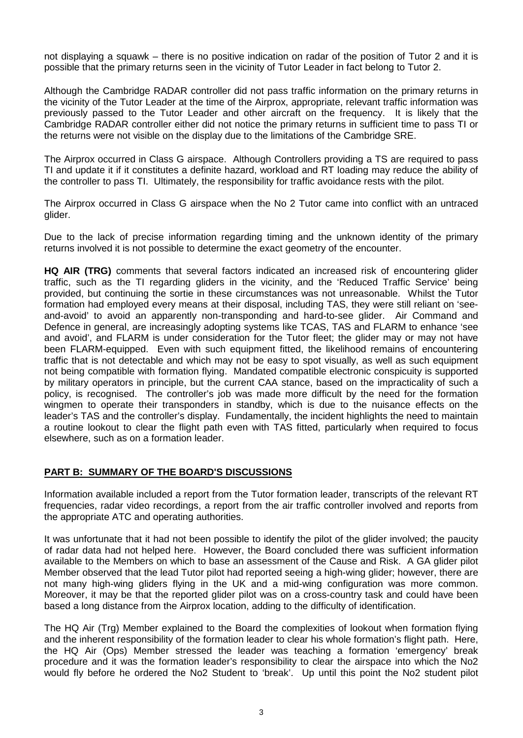not displaying a squawk – there is no positive indication on radar of the position of Tutor 2 and it is possible that the primary returns seen in the vicinity of Tutor Leader in fact belong to Tutor 2.

Although the Cambridge RADAR controller did not pass traffic information on the primary returns in the vicinity of the Tutor Leader at the time of the Airprox, appropriate, relevant traffic information was previously passed to the Tutor Leader and other aircraft on the frequency. It is likely that the Cambridge RADAR controller either did not notice the primary returns in sufficient time to pass TI or the returns were not visible on the display due to the limitations of the Cambridge SRE.

The Airprox occurred in Class G airspace. Although Controllers providing a TS are required to pass TI and update it if it constitutes a definite hazard, workload and RT loading may reduce the ability of the controller to pass TI. Ultimately, the responsibility for traffic avoidance rests with the pilot.

The Airprox occurred in Class G airspace when the No 2 Tutor came into conflict with an untraced glider.

Due to the lack of precise information regarding timing and the unknown identity of the primary returns involved it is not possible to determine the exact geometry of the encounter.

**HQ AIR (TRG)** comments that several factors indicated an increased risk of encountering glider traffic, such as the TI regarding gliders in the vicinity, and the 'Reduced Traffic Service' being provided, but continuing the sortie in these circumstances was not unreasonable. Whilst the Tutor formation had employed every means at their disposal, including TAS, they were still reliant on 'seeand-avoid' to avoid an apparently non-transponding and hard-to-see glider. Air Command and Defence in general, are increasingly adopting systems like TCAS, TAS and FLARM to enhance 'see and avoid', and FLARM is under consideration for the Tutor fleet; the glider may or may not have been FLARM-equipped. Even with such equipment fitted, the likelihood remains of encountering traffic that is not detectable and which may not be easy to spot visually, as well as such equipment not being compatible with formation flying. Mandated compatible electronic conspicuity is supported by military operators in principle, but the current CAA stance, based on the impracticality of such a policy, is recognised. The controller's job was made more difficult by the need for the formation wingmen to operate their transponders in standby, which is due to the nuisance effects on the leader's TAS and the controller's display. Fundamentally, the incident highlights the need to maintain a routine lookout to clear the flight path even with TAS fitted, particularly when required to focus elsewhere, such as on a formation leader.

## **PART B: SUMMARY OF THE BOARD'S DISCUSSIONS**

Information available included a report from the Tutor formation leader, transcripts of the relevant RT frequencies, radar video recordings, a report from the air traffic controller involved and reports from the appropriate ATC and operating authorities.

It was unfortunate that it had not been possible to identify the pilot of the glider involved; the paucity of radar data had not helped here. However, the Board concluded there was sufficient information available to the Members on which to base an assessment of the Cause and Risk. A GA glider pilot Member observed that the lead Tutor pilot had reported seeing a high-wing glider; however, there are not many high-wing gliders flying in the UK and a mid-wing configuration was more common. Moreover, it may be that the reported glider pilot was on a cross-country task and could have been based a long distance from the Airprox location, adding to the difficulty of identification.

The HQ Air (Trg) Member explained to the Board the complexities of lookout when formation flying and the inherent responsibility of the formation leader to clear his whole formation's flight path. Here, the HQ Air (Ops) Member stressed the leader was teaching a formation 'emergency' break procedure and it was the formation leader's responsibility to clear the airspace into which the No2 would fly before he ordered the No2 Student to 'break'. Up until this point the No2 student pilot